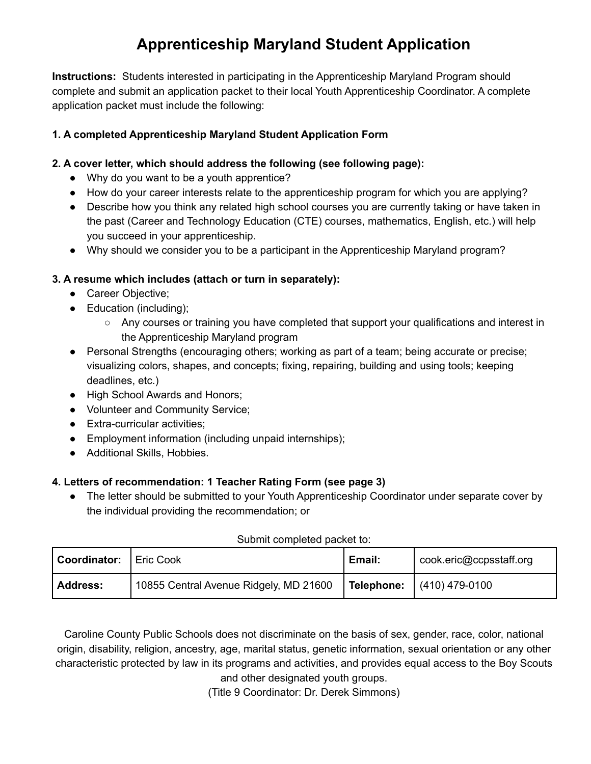# **Apprenticeship Maryland Student Application**

**Instructions:** Students interested in participating in the Apprenticeship Maryland Program should complete and submit an application packet to their local Youth Apprenticeship Coordinator. A complete application packet must include the following:

# **1. A completed Apprenticeship Maryland Student Application Form**

# **2. A cover letter, which should address the following (see following page):**

- Why do you want to be a youth apprentice?
- How do your career interests relate to the apprenticeship program for which you are applying?
- Describe how you think any related high school courses you are currently taking or have taken in the past (Career and Technology Education (CTE) courses, mathematics, English, etc.) will help you succeed in your apprenticeship.
- Why should we consider you to be a participant in the Apprenticeship Maryland program?

# **3. A resume which includes (attach or turn in separately):**

- Career Objective;
- Education (including);
	- Any courses or training you have completed that support your qualifications and interest in the Apprenticeship Maryland program
- Personal Strengths (encouraging others; working as part of a team; being accurate or precise; visualizing colors, shapes, and concepts; fixing, repairing, building and using tools; keeping deadlines, etc.)
- High School Awards and Honors;
- Volunteer and Community Service;
- Extra-curricular activities;
- Employment information (including unpaid internships);
- Additional Skills, Hobbies.

# **4. Letters of recommendation: 1 Teacher Rating Form (see page 3)**

• The letter should be submitted to your Youth Apprenticeship Coordinator under separate cover by the individual providing the recommendation; or

| <b>Coordinator:</b> | ' Eric Cook                            | Email: | cook.eric@ccpsstaff.org            |
|---------------------|----------------------------------------|--------|------------------------------------|
| <b>Address:</b>     | 10855 Central Avenue Ridgely, MD 21600 |        | <b>Telephone:</b> $(410) 479-0100$ |

#### Submit completed packet to:

Caroline County Public Schools does not discriminate on the basis of sex, gender, race, color, national origin, disability, religion, ancestry, age, marital status, genetic information, sexual orientation or any other characteristic protected by law in its programs and activities, and provides equal access to the Boy Scouts and other designated youth groups.

(Title 9 Coordinator: Dr. Derek Simmons)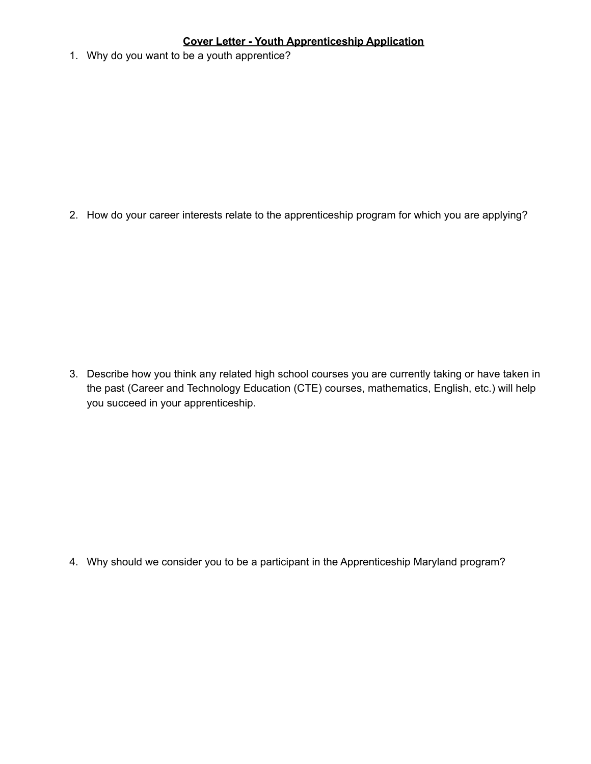# **Cover Letter - Youth Apprenticeship Application**

1. Why do you want to be a youth apprentice?

2. How do your career interests relate to the apprenticeship program for which you are applying?

3. Describe how you think any related high school courses you are currently taking or have taken in the past (Career and Technology Education (CTE) courses, mathematics, English, etc.) will help you succeed in your apprenticeship.

4. Why should we consider you to be a participant in the Apprenticeship Maryland program?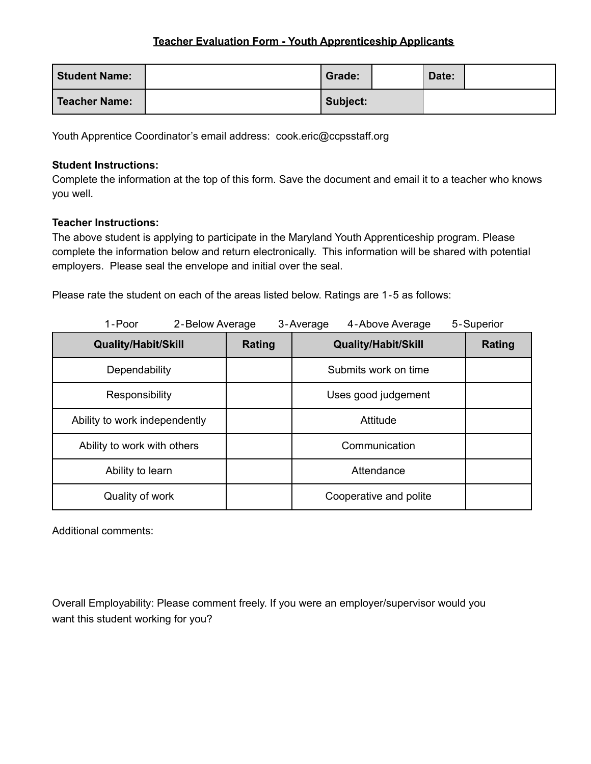# **Teacher Evaluation Form - Youth Apprenticeship Applicants**

| <b>Student Name:</b> | Grade:   | Date: |  |
|----------------------|----------|-------|--|
| Teacher Name:        | Subject: |       |  |

Youth Apprentice Coordinator's email address: cook.eric@ccpsstaff.org

# **Student Instructions:**

Complete the information at the top of this form. Save the document and email it to a teacher who knows you well.

# **Teacher Instructions:**

The above student is applying to participate in the Maryland Youth Apprenticeship program. Please complete the information below and return electronically. This information will be shared with potential employers. Please seal the envelope and initial over the seal.

Please rate the student on each of the areas listed below. Ratings are 1‐5 as follows:

| 1-Poor<br>2-Below Average     |        | 4-Above Average<br>3-Average | 5-Superior    |
|-------------------------------|--------|------------------------------|---------------|
| <b>Quality/Habit/Skill</b>    | Rating | <b>Quality/Habit/Skill</b>   | <b>Rating</b> |
| Dependability                 |        | Submits work on time         |               |
| Responsibility                |        | Uses good judgement          |               |
| Ability to work independently |        | Attitude                     |               |
| Ability to work with others   |        | Communication                |               |
| Ability to learn              |        | Attendance                   |               |
| Quality of work               |        | Cooperative and polite       |               |

Additional comments:

Overall Employability: Please comment freely. If you were an employer/supervisor would you want this student working for you?